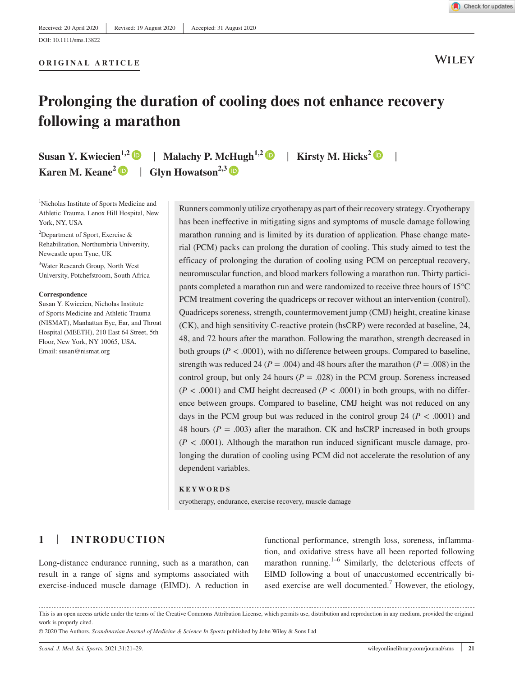**WILEY** 

# **Prolonging the duration of cooling does not enhance recovery following a marathon**

**Susan Y. Kwiecien<sup>1,[2](https://orcid.org/0000-0002-8371-8151)</sup>**  $\bullet$  **| Malachy P. McHugh<sup>1,2</sup>**  $\bullet$  **| Kirsty M. Hicks<sup>2</sup>**  $\bullet$  **| Karen M. Keane<sup>[2](https://orcid.org/0000-0002-1572-9211)</sup>**  $\bullet$  **| Glyn Howatson<sup>2,3</sup>**  $\bullet$ 

**ORIGINAL ARTICLE**

1 Nicholas Institute of Sports Medicine and Athletic Trauma, Lenox Hill Hospital, New York, NY, USA

<sup>2</sup>Department of Sport, Exercise  $\&$ Rehabilitation, Northumbria University, Newcastle upon Tyne, UK

3 Water Research Group, North West University, Potchefstroom, South Africa

#### **Correspondence**

Susan Y. Kwiecien, Nicholas Institute of Sports Medicine and Athletic Trauma (NISMAT), Manhattan Eye, Ear, and Throat Hospital (MEETH), 210 East 64 Street, 5th Floor, New York, NY 10065, USA. Email: [susan@nismat.org](mailto:susan@nismat.org)

Runners commonly utilize cryotherapy as part of their recovery strategy. Cryotherapy has been ineffective in mitigating signs and symptoms of muscle damage following marathon running and is limited by its duration of application. Phase change material (PCM) packs can prolong the duration of cooling. This study aimed to test the efficacy of prolonging the duration of cooling using PCM on perceptual recovery, neuromuscular function, and blood markers following a marathon run. Thirty participants completed a marathon run and were randomized to receive three hours of 15°C PCM treatment covering the quadriceps or recover without an intervention (control). Quadriceps soreness, strength, countermovement jump (CMJ) height, creatine kinase (CK), and high sensitivity C-reactive protein (hsCRP) were recorded at baseline, 24, 48, and 72 hours after the marathon. Following the marathon, strength decreased in both groups ( $P < .0001$ ), with no difference between groups. Compared to baseline, strength was reduced 24 ( $P = .004$ ) and 48 hours after the marathon ( $P = .008$ ) in the control group, but only 24 hours ( $P = .028$ ) in the PCM group. Soreness increased  $(P < .0001)$  and CMJ height decreased  $(P < .0001)$  in both groups, with no difference between groups. Compared to baseline, CMJ height was not reduced on any days in the PCM group but was reduced in the control group 24 ( $P < .0001$ ) and 48 hours ( $P = .003$ ) after the marathon. CK and hsCRP increased in both groups  $(P < .0001)$ . Although the marathon run induced significant muscle damage, prolonging the duration of cooling using PCM did not accelerate the resolution of any dependent variables.

#### **KEYWORDS**

cryotherapy, endurance, exercise recovery, muscle damage

# **1** | **INTRODUCTION**

Long-distance endurance running, such as a marathon, can result in a range of signs and symptoms associated with exercise-induced muscle damage (EIMD). A reduction in

functional performance, strength loss, soreness, inflammation, and oxidative stress have all been reported following marathon running.<sup>1–6</sup> Similarly, the deleterious effects of EIMD following a bout of unaccustomed eccentrically biased exercise are well documented.<sup>7</sup> However, the etiology,

© 2020 The Authors. *Scandinavian Journal of Medicine & Science In Sports* published by John Wiley & Sons Ltd

This is an open access article under the terms of the [Creative Commons Attribution](http://creativecommons.org/licenses/by/4.0/) License, which permits use, distribution and reproduction in any medium, provided the original work is properly cited.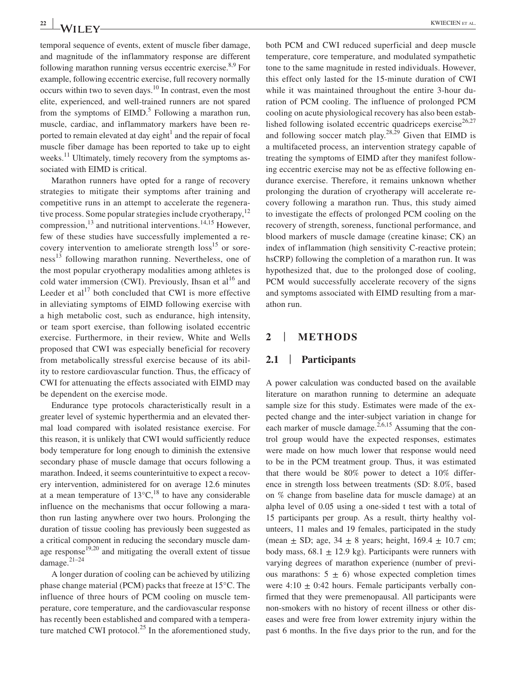temporal sequence of events, extent of muscle fiber damage, and magnitude of the inflammatory response are different following marathon running versus eccentric exercise. $8.9$  For example, following eccentric exercise, full recovery normally occurs within two to seven days.10 In contrast, even the most elite, experienced, and well-trained runners are not spared from the symptoms of  $EIMD$ .<sup>5</sup> Following a marathon run, muscle, cardiac, and inflammatory markers have been reported to remain elevated at day eight $<sup>1</sup>$  and the repair of focal</sup> muscle fiber damage has been reported to take up to eight weeks. $^{11}$  Ultimately, timely recovery from the symptoms associated with EIMD is critical.

Marathon runners have opted for a range of recovery strategies to mitigate their symptoms after training and competitive runs in an attempt to accelerate the regenerative process. Some popular strategies include cryotherapy,  $12$ compression, $^{13}$  and nutritional interventions.<sup>14,15</sup> However, few of these studies have successfully implemented a recovery intervention to ameliorate strength  $\cos^{15}$  or sore $ness<sup>13</sup>$  following marathon running. Nevertheless, one of the most popular cryotherapy modalities among athletes is cold water immersion (CWI). Previously, Ihsan et  $al<sup>16</sup>$  and Leeder et al<sup>17</sup> both concluded that CWI is more effective in alleviating symptoms of EIMD following exercise with a high metabolic cost, such as endurance, high intensity, or team sport exercise, than following isolated eccentric exercise. Furthermore, in their review, White and Wells proposed that CWI was especially beneficial for recovery from metabolically stressful exercise because of its ability to restore cardiovascular function. Thus, the efficacy of CWI for attenuating the effects associated with EIMD may be dependent on the exercise mode.

Endurance type protocols characteristically result in a greater level of systemic hyperthermia and an elevated thermal load compared with isolated resistance exercise. For this reason, it is unlikely that CWI would sufficiently reduce body temperature for long enough to diminish the extensive secondary phase of muscle damage that occurs following a marathon. Indeed, it seems counterintuitive to expect a recovery intervention, administered for on average 12.6 minutes at a mean temperature of  $13^{\circ}C$ ,<sup>18</sup> to have any considerable influence on the mechanisms that occur following a marathon run lasting anywhere over two hours. Prolonging the duration of tissue cooling has previously been suggested as a critical component in reducing the secondary muscle damage response $19,20$  and mitigating the overall extent of tissue damage.<sup>21–24</sup>

A longer duration of cooling can be achieved by utilizing phase change material (PCM) packs that freeze at 15°C. The influence of three hours of PCM cooling on muscle temperature, core temperature, and the cardiovascular response has recently been established and compared with a temperature matched CWI protocol.<sup>25</sup> In the aforementioned study,

both PCM and CWI reduced superficial and deep muscle temperature, core temperature, and modulated sympathetic tone to the same magnitude in rested individuals. However, this effect only lasted for the 15-minute duration of CWI while it was maintained throughout the entire 3-hour duration of PCM cooling. The influence of prolonged PCM cooling on acute physiological recovery has also been established following isolated eccentric quadriceps exercise<sup>26,27</sup> and following soccer match play.<sup>28,29</sup> Given that EIMD is a multifaceted process, an intervention strategy capable of treating the symptoms of EIMD after they manifest following eccentric exercise may not be as effective following endurance exercise. Therefore, it remains unknown whether prolonging the duration of cryotherapy will accelerate recovery following a marathon run. Thus, this study aimed to investigate the effects of prolonged PCM cooling on the recovery of strength, soreness, functional performance, and blood markers of muscle damage (creatine kinase; CK) an index of inflammation (high sensitivity C-reactive protein; hsCRP) following the completion of a marathon run. It was hypothesized that, due to the prolonged dose of cooling, PCM would successfully accelerate recovery of the signs and symptoms associated with EIMD resulting from a marathon run.

### **2** | **METHODS**

#### **2.1** | **Participants**

A power calculation was conducted based on the available literature on marathon running to determine an adequate sample size for this study. Estimates were made of the expected change and the inter-subject variation in change for each marker of muscle damage.<sup>2,6,15</sup> Assuming that the control group would have the expected responses, estimates were made on how much lower that response would need to be in the PCM treatment group. Thus, it was estimated that there would be 80% power to detect a 10% difference in strength loss between treatments (SD: 8.0%, based on % change from baseline data for muscle damage) at an alpha level of 0.05 using a one-sided t test with a total of 15 participants per group. As a result, thirty healthy volunteers, 11 males and 19 females, participated in the study (mean  $\pm$  SD; age, 34  $\pm$  8 years; height, 169.4  $\pm$  10.7 cm; body mass,  $68.1 \pm 12.9$  kg). Participants were runners with varying degrees of marathon experience (number of previous marathons:  $5 \pm 6$ ) whose expected completion times were  $4:10 \pm 0:42$  hours. Female participants verbally confirmed that they were premenopausal. All participants were non-smokers with no history of recent illness or other diseases and were free from lower extremity injury within the past 6 months. In the five days prior to the run, and for the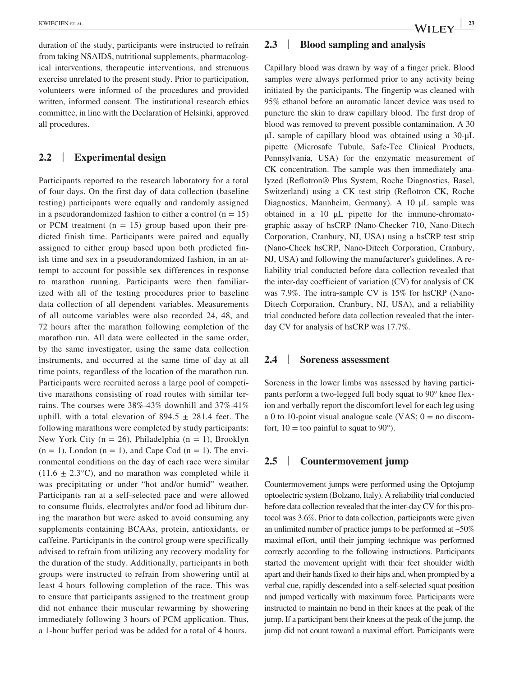duration of the study, participants were instructed to refrain from taking NSAIDS, nutritional supplements, pharmacological interventions, therapeutic interventions, and strenuous exercise unrelated to the present study. Prior to participation, volunteers were informed of the procedures and provided written, informed consent. The institutional research ethics committee, in line with the Declaration of Helsinki, approved all procedures.

# **2.2** | **Experimental design**

Participants reported to the research laboratory for a total of four days. On the first day of data collection (baseline testing) participants were equally and randomly assigned in a pseudorandomized fashion to either a control  $(n = 15)$ or PCM treatment  $(n = 15)$  group based upon their predicted finish time. Participants were paired and equally assigned to either group based upon both predicted finish time and sex in a pseudorandomized fashion, in an attempt to account for possible sex differences in response to marathon running. Participants were then familiarized with all of the testing procedures prior to baseline data collection of all dependent variables. Measurements of all outcome variables were also recorded 24, 48, and 72 hours after the marathon following completion of the marathon run. All data were collected in the same order, by the same investigator, using the same data collection instruments, and occurred at the same time of day at all time points, regardless of the location of the marathon run. Participants were recruited across a large pool of competitive marathons consisting of road routes with similar terrains. The courses were 38%-43% downhill and 37%-41% uphill, with a total elevation of  $894.5 \pm 281.4$  feet. The following marathons were completed by study participants: New York City ( $n = 26$ ), Philadelphia ( $n = 1$ ), Brooklyn  $(n = 1)$ , London  $(n = 1)$ , and Cape Cod  $(n = 1)$ . The environmental conditions on the day of each race were similar  $(11.6 \pm 2.3^{\circ}C)$ , and no marathon was completed while it was precipitating or under "hot and/or humid" weather. Participants ran at a self-selected pace and were allowed to consume fluids, electrolytes and/or food ad libitum during the marathon but were asked to avoid consuming any supplements containing BCAAs, protein, antioxidants, or caffeine. Participants in the control group were specifically advised to refrain from utilizing any recovery modality for the duration of the study. Additionally, participants in both groups were instructed to refrain from showering until at least 4 hours following completion of the race. This was to ensure that participants assigned to the treatment group did not enhance their muscular rewarming by showering immediately following 3 hours of PCM application. Thus, a 1-hour buffer period was be added for a total of 4 hours.

# **2.3** | **Blood sampling and analysis**

Capillary blood was drawn by way of a finger prick. Blood samples were always performed prior to any activity being initiated by the participants. The fingertip was cleaned with 95% ethanol before an automatic lancet device was used to puncture the skin to draw capillary blood. The first drop of blood was removed to prevent possible contamination. A 30 μL sample of capillary blood was obtained using a 30-μL pipette (Microsafe Tubule, Safe-Tec Clinical Products, Pennsylvania, USA) for the enzymatic measurement of CK concentration. The sample was then immediately analyzed (Reflotron® Plus System, Roche Diagnostics, Basel, Switzerland) using a CK test strip (Reflotron CK, Roche Diagnostics, Mannheim, Germany). A 10 μL sample was obtained in a 10 μL pipette for the immune-chromatographic assay of hsCRP (Nano-Checker 710, Nano-Ditech Corporation, Cranbury, NJ, USA) using a hsCRP test strip (Nano-Check hsCRP, Nano-Ditech Corporation, Cranbury, NJ, USA) and following the manufacturer's guidelines. A reliability trial conducted before data collection revealed that the inter-day coefficient of variation (CV) for analysis of CK was 7.9%. The intra-sample CV is 15% for hsCRP (Nano-Ditech Corporation, Cranbury, NJ, USA), and a reliability trial conducted before data collection revealed that the interday CV for analysis of hsCRP was 17.7%.

# **2.4** | **Soreness assessment**

Soreness in the lower limbs was assessed by having participants perform a two-legged full body squat to 90° knee flexion and verbally report the discomfort level for each leg using a 0 to 10-point visual analogue scale (VAS;  $0 =$  no discomfort,  $10 =$  too painful to squat to 90 $^{\circ}$ ).

## **2.5** | **Countermovement jump**

Countermovement jumps were performed using the Optojump optoelectric system (Bolzano, Italy). A reliability trial conducted before data collection revealed that the inter-day CV for this protocol was 3.6%. Prior to data collection, participants were given an unlimited number of practice jumps to be performed at  $~50\%$ maximal effort, until their jumping technique was performed correctly according to the following instructions. Participants started the movement upright with their feet shoulder width apart and their hands fixed to their hips and, when prompted by a verbal cue, rapidly descended into a self-selected squat position and jumped vertically with maximum force. Participants were instructed to maintain no bend in their knees at the peak of the jump. If a participant bent their knees at the peak of the jump, the jump did not count toward a maximal effort. Participants were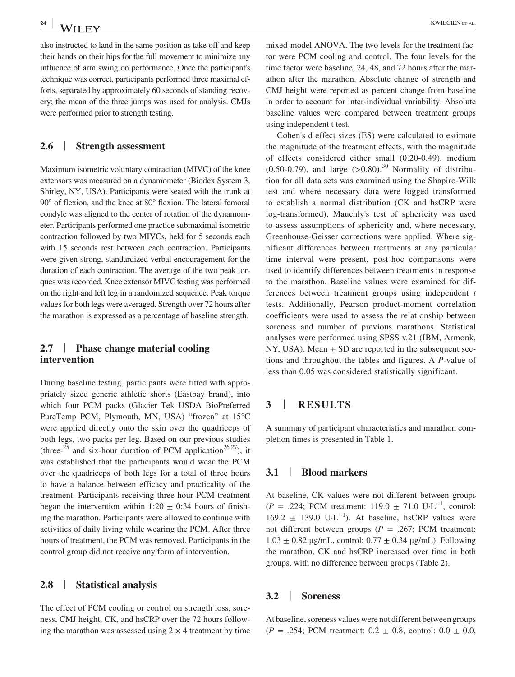also instructed to land in the same position as take off and keep their hands on their hips for the full movement to minimize any influence of arm swing on performance. Once the participant's technique was correct, participants performed three maximal efforts, separated by approximately 60 seconds of standing recovery; the mean of the three jumps was used for analysis. CMJs were performed prior to strength testing.

# **2.6** | **Strength assessment**

Maximum isometric voluntary contraction (MIVC) of the knee extensors was measured on a dynamometer (Biodex System 3, Shirley, NY, USA). Participants were seated with the trunk at 90° of flexion, and the knee at 80° flexion. The lateral femoral condyle was aligned to the center of rotation of the dynamometer. Participants performed one practice submaximal isometric contraction followed by two MIVCs, held for 5 seconds each with 15 seconds rest between each contraction. Participants were given strong, standardized verbal encouragement for the duration of each contraction. The average of the two peak torques was recorded. Knee extensor MIVC testing was performed on the right and left leg in a randomized sequence. Peak torque values for both legs were averaged. Strength over 72 hours after the marathon is expressed as a percentage of baseline strength.

# **2.7** | **Phase change material cooling intervention**

During baseline testing, participants were fitted with appropriately sized generic athletic shorts (Eastbay brand), into which four PCM packs (Glacier Tek USDA BioPreferred PureTemp PCM, Plymouth, MN, USA) "frozen" at 15°C were applied directly onto the skin over the quadriceps of both legs, two packs per leg. Based on our previous studies (three-<sup>25</sup> and six-hour duration of PCM application<sup>26,27</sup>), it was established that the participants would wear the PCM over the quadriceps of both legs for a total of three hours to have a balance between efficacy and practicality of the treatment. Participants receiving three-hour PCM treatment began the intervention within 1:20  $\pm$  0:34 hours of finishing the marathon. Participants were allowed to continue with activities of daily living while wearing the PCM. After three hours of treatment, the PCM was removed. Participants in the control group did not receive any form of intervention.

### **2.8** | **Statistical analysis**

The effect of PCM cooling or control on strength loss, soreness, CMJ height, CK, and hsCRP over the 72 hours following the marathon was assessed using  $2 \times 4$  treatment by time mixed-model ANOVA. The two levels for the treatment factor were PCM cooling and control. The four levels for the time factor were baseline, 24, 48, and 72 hours after the marathon after the marathon. Absolute change of strength and CMJ height were reported as percent change from baseline in order to account for inter-individual variability. Absolute baseline values were compared between treatment groups using independent t test.

Cohen's d effect sizes (ES) were calculated to estimate the magnitude of the treatment effects, with the magnitude of effects considered either small (0.20-0.49), medium  $(0.50-0.79)$ , and large  $(>0.80)$ .<sup>30</sup> Normality of distribution for all data sets was examined using the Shapiro-Wilk test and where necessary data were logged transformed to establish a normal distribution (CK and hsCRP were log-transformed). Mauchly's test of sphericity was used to assess assumptions of sphericity and, where necessary, Greenhouse-Geisser corrections were applied. Where significant differences between treatments at any particular time interval were present, post-hoc comparisons were used to identify differences between treatments in response to the marathon. Baseline values were examined for differences between treatment groups using independent *t* tests. Additionally, Pearson product-moment correlation coefficients were used to assess the relationship between soreness and number of previous marathons. Statistical analyses were performed using SPSS v.21 (IBM, Armonk, NY, USA). Mean  $\pm$  SD are reported in the subsequent sections and throughout the tables and figures. A *P*-value of less than 0.05 was considered statistically significant.

#### **3** | **RESULTS**

A summary of participant characteristics and marathon completion times is presented in Table 1.

# **3.1** | **Blood markers**

At baseline, CK values were not different between groups  $(P = .224;$  PCM treatment: 119.0  $\pm$  71.0 U·L<sup>-1</sup>, control:  $169.2 \pm 139.0 \text{ U} \cdot \text{L}^{-1}$ ). At baseline, hsCRP values were not different between groups ( $P = .267$ ; PCM treatment:  $1.03 \pm 0.82$  μg/mL, control:  $0.77 \pm 0.34$  μg/mL). Following the marathon, CK and hsCRP increased over time in both groups, with no difference between groups (Table 2).

#### **3.2** | **Soreness**

At baseline, soreness values were not different between groups  $(P = .254;$  PCM treatment:  $0.2 \pm 0.8$ , control:  $0.0 \pm 0.0$ ,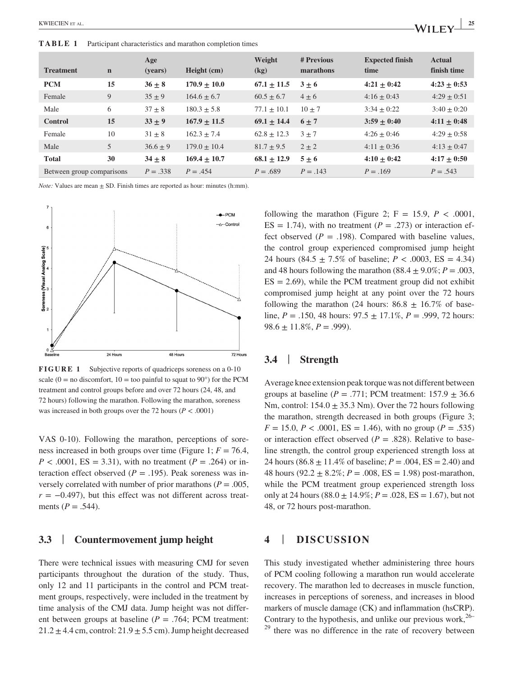**TABLE 1** Participant characteristics and marathon completion times

| <b>Treatment</b>          | $\mathbf n$ | Age<br>(years) | Height (cm)     | Weight<br>(kg)  | # Previous<br>marathons | <b>Expected finish</b><br>time | <b>Actual</b><br>finish time |
|---------------------------|-------------|----------------|-----------------|-----------------|-------------------------|--------------------------------|------------------------------|
| <b>PCM</b>                | 15          | $36 + 8$       | $170.9 + 10.0$  | $67.1 + 11.5$   | $3 + 6$                 | $4:21 \pm 0:42$                | $4:23 + 0:53$                |
| Female                    | 9           | $35 + 9$       | $164.6 \pm 6.7$ | $60.5 \pm 6.7$  | $4 + 6$                 | $4:16 \pm 0:43$                | $4:29 \pm 0:51$              |
| Male                      | 6           | $37 + 8$       | $180.3 \pm 5.8$ | $77.1 \pm 10.1$ | $10 + 7$                | $3:34 \pm 0:22$                | $3:40 + 0:20$                |
| <b>Control</b>            | 15          | $33 + 9$       | $167.9 + 11.5$  | $69.1 + 14.4$   | $6 + 7$                 | $3:59 + 0:40$                  | $4:11 + 0:48$                |
| Female                    | 10          | $31 \pm 8$     | $162.3 \pm 7.4$ | $62.8 \pm 12.3$ | $3 + 7$                 | $4:26 + 0:46$                  | $4:29 + 0:58$                |
| Male                      | 5           | $36.6 \pm 9$   | $179.0 + 10.4$  | $81.7 \pm 9.5$  | $2 + 2$                 | $4:11 \pm 0:36$                | $4:13 + 0:47$                |
| <b>Total</b>              | 30          | $34 + 8$       | $169.4 + 10.7$  | $68.1 \pm 12.9$ | $5 + 6$                 | $4:10 + 0:42$                  | $4:17 + 0:50$                |
| Between group comparisons |             | $P = .338$     | $P = .454$      | $P = .689$      | $P = .143$              | $P = .169$                     | $P = .543$                   |

*Note:* Values are mean  $\pm$  SD. Finish times are reported as hour: minutes (h:mm).



**FIGURE 1** Subjective reports of quadriceps soreness on a 0-10 scale ( $0 =$  no discomfort,  $10 =$  too painful to squat to  $90^{\circ}$ ) for the PCM treatment and control groups before and over 72 hours (24, 48, and 72 hours) following the marathon. Following the marathon, soreness was increased in both groups over the 72 hours ( $P < .0001$ )

VAS 0-10). Following the marathon, perceptions of soreness increased in both groups over time (Figure 1;  $F = 76.4$ ,  $P < .0001$ , ES = 3.31), with no treatment ( $P = .264$ ) or interaction effect observed ( $P = .195$ ). Peak soreness was inversely correlated with number of prior marathons ( $P = .005$ ,  $r = -0.497$ ), but this effect was not different across treatments ( $P = .544$ ).

# **3.3** | **Countermovement jump height**

There were technical issues with measuring CMJ for seven participants throughout the duration of the study. Thus, only 12 and 11 participants in the control and PCM treatment groups, respectively, were included in the treatment by time analysis of the CMJ data. Jump height was not different between groups at baseline (*P* = .764; PCM treatment:  $21.2 \pm 4.4$  cm, control:  $21.9 \pm 5.5$  cm). Jump height decreased

following the marathon (Figure 2;  $F = 15.9$ ,  $P < .0001$ ,  $ES = 1.74$ ), with no treatment ( $P = .273$ ) or interaction effect observed  $(P = .198)$ . Compared with baseline values, the control group experienced compromised jump height 24 hours  $(84.5 \pm 7.5\% \text{ of baseline}; P < .0003, ES = 4.34)$ and 48 hours following the marathon  $(88.4 \pm 9.0\%; P = .003$ ,  $ES = 2.69$ , while the PCM treatment group did not exhibit compromised jump height at any point over the 72 hours following the marathon (24 hours:  $86.8 \pm 16.7\%$  of baseline,  $P = .150, 48$  hours:  $97.5 \pm 17.1\%$ ,  $P = .999, 72$  hours:  $98.6 \pm 11.8\%, P = .999$ .

# **3.4** | **Strength**

Average knee extension peak torque was not different between groups at baseline ( $P = .771$ ; PCM treatment:  $157.9 \pm 36.6$ Nm, control:  $154.0 \pm 35.3$  Nm). Over the 72 hours following the marathon, strength decreased in both groups (Figure 3;  $F = 15.0, P < .0001, ES = 1.46$ , with no group (*P* = .535) or interaction effect observed ( $P = .828$ ). Relative to baseline strength, the control group experienced strength loss at 24 hours (86.8  $\pm$  11.4% of baseline; *P* = .004, ES = 2.40) and 48 hours  $(92.2 \pm 8.2\%; P = .008, ES = 1.98)$  post-marathon, while the PCM treatment group experienced strength loss only at 24 hours (88.0  $\pm$  14.9%; *P* = .028, ES = 1.67), but not 48, or 72 hours post-marathon.

# **4** | **DISCUSSION**

This study investigated whether administering three hours of PCM cooling following a marathon run would accelerate recovery. The marathon led to decreases in muscle function, increases in perceptions of soreness, and increases in blood markers of muscle damage (CK) and inflammation (hsCRP). Contrary to the hypothesis, and unlike our previous work,  $26$ – there was no difference in the rate of recovery between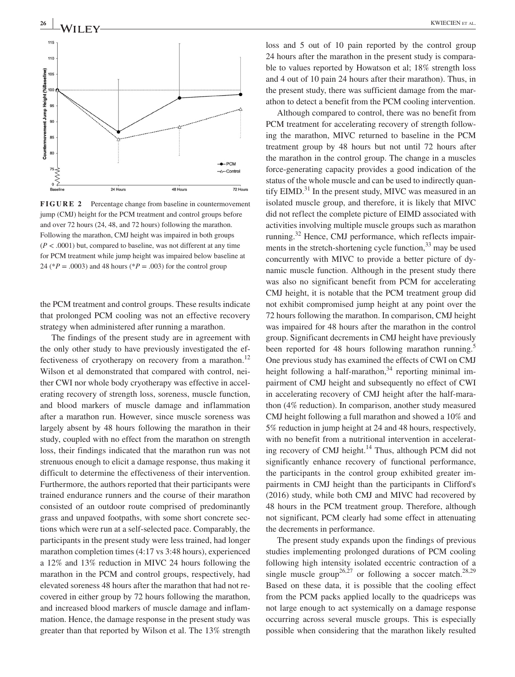

**FIGURE 2** Percentage change from baseline in countermovement jump (CMJ) height for the PCM treatment and control groups before and over 72 hours (24, 48, and 72 hours) following the marathon. Following the marathon, CMJ height was impaired in both groups  $(P < .0001)$  but, compared to baseline, was not different at any time for PCM treatment while jump height was impaired below baseline at 24 (\**P* = .0003) and 48 hours (\**P* = .003) for the control group

the PCM treatment and control groups. These results indicate that prolonged PCM cooling was not an effective recovery strategy when administered after running a marathon.

The findings of the present study are in agreement with the only other study to have previously investigated the effectiveness of cryotherapy on recovery from a marathon.<sup>12</sup> Wilson et al demonstrated that compared with control, neither CWI nor whole body cryotherapy was effective in accelerating recovery of strength loss, soreness, muscle function, and blood markers of muscle damage and inflammation after a marathon run. However, since muscle soreness was largely absent by 48 hours following the marathon in their study, coupled with no effect from the marathon on strength loss, their findings indicated that the marathon run was not strenuous enough to elicit a damage response, thus making it difficult to determine the effectiveness of their intervention. Furthermore, the authors reported that their participants were trained endurance runners and the course of their marathon consisted of an outdoor route comprised of predominantly grass and unpaved footpaths, with some short concrete sections which were run at a self-selected pace. Comparably, the participants in the present study were less trained, had longer marathon completion times (4:17 vs 3:48 hours), experienced a 12% and 13% reduction in MIVC 24 hours following the marathon in the PCM and control groups, respectively, had elevated soreness 48 hours after the marathon that had not recovered in either group by 72 hours following the marathon, and increased blood markers of muscle damage and inflammation. Hence, the damage response in the present study was greater than that reported by Wilson et al. The 13% strength

loss and 5 out of 10 pain reported by the control group 24 hours after the marathon in the present study is comparable to values reported by Howatson et al; 18% strength loss and 4 out of 10 pain 24 hours after their marathon). Thus, in the present study, there was sufficient damage from the marathon to detect a benefit from the PCM cooling intervention.

Although compared to control, there was no benefit from PCM treatment for accelerating recovery of strength following the marathon, MIVC returned to baseline in the PCM treatment group by 48 hours but not until 72 hours after the marathon in the control group. The change in a muscles force-generating capacity provides a good indication of the status of the whole muscle and can be used to indirectly quantify  $EIMD<sup>31</sup>$  In the present study, MIVC was measured in an isolated muscle group, and therefore, it is likely that MIVC did not reflect the complete picture of EIMD associated with activities involving multiple muscle groups such as marathon running.<sup>32</sup> Hence, CMJ performance, which reflects impairments in the stretch-shortening cycle function,  $33$  may be used concurrently with MIVC to provide a better picture of dynamic muscle function. Although in the present study there was also no significant benefit from PCM for accelerating CMJ height, it is notable that the PCM treatment group did not exhibit compromised jump height at any point over the 72 hours following the marathon. In comparison, CMJ height was impaired for 48 hours after the marathon in the control group. Significant decrements in CMJ height have previously been reported for 48 hours following marathon running.<sup>5</sup> One previous study has examined the effects of CWI on CMJ height following a half-marathon,  $34$  reporting minimal impairment of CMJ height and subsequently no effect of CWI in accelerating recovery of CMJ height after the half-marathon (4% reduction). In comparison, another study measured CMJ height following a full marathon and showed a 10% and 5% reduction in jump height at 24 and 48 hours, respectively, with no benefit from a nutritional intervention in accelerating recovery of CMJ height.<sup>14</sup> Thus, although PCM did not significantly enhance recovery of functional performance, the participants in the control group exhibited greater impairments in CMJ height than the participants in Clifford's (2016) study, while both CMJ and MIVC had recovered by 48 hours in the PCM treatment group. Therefore, although not significant, PCM clearly had some effect in attenuating the decrements in performance.

The present study expands upon the findings of previous studies implementing prolonged durations of PCM cooling following high intensity isolated eccentric contraction of a single muscle group<sup>26,27</sup> or following a soccer match.<sup>28,29</sup> Based on these data, it is possible that the cooling effect from the PCM packs applied locally to the quadriceps was not large enough to act systemically on a damage response occurring across several muscle groups. This is especially possible when considering that the marathon likely resulted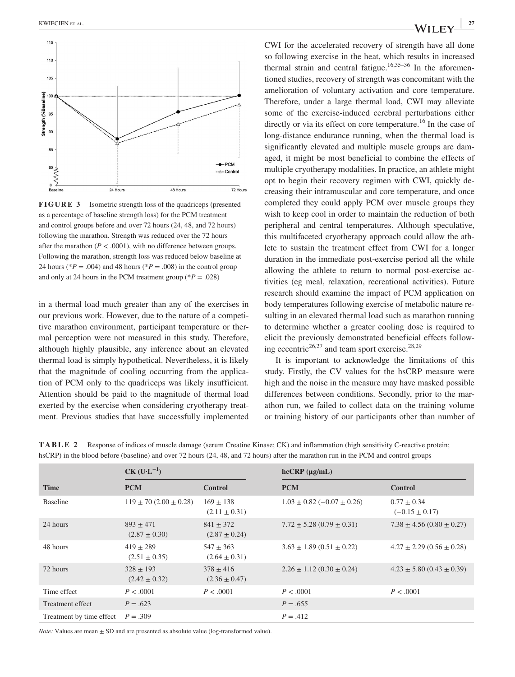

**FIGURE 3** Isometric strength loss of the quadriceps (presented as a percentage of baseline strength loss) for the PCM treatment and control groups before and over 72 hours (24, 48, and 72 hours) following the marathon. Strength was reduced over the 72 hours after the marathon  $(P < .0001)$ , with no difference between groups. Following the marathon, strength loss was reduced below baseline at 24 hours ( ${}^*P = .004$ ) and 48 hours ( ${}^*P = .008$ ) in the control group and only at 24 hours in the PCM treatment group ( $P = .028$ )

in a thermal load much greater than any of the exercises in our previous work. However, due to the nature of a competitive marathon environment, participant temperature or thermal perception were not measured in this study. Therefore, although highly plausible, any inference about an elevated thermal load is simply hypothetical. Nevertheless, it is likely that the magnitude of cooling occurring from the application of PCM only to the quadriceps was likely insufficient. Attention should be paid to the magnitude of thermal load exerted by the exercise when considering cryotherapy treatment. Previous studies that have successfully implemented CWI for the accelerated recovery of strength have all done so following exercise in the heat, which results in increased thermal strain and central fatigue.<sup>16,35–36</sup> In the aforementioned studies, recovery of strength was concomitant with the amelioration of voluntary activation and core temperature. Therefore, under a large thermal load, CWI may alleviate some of the exercise-induced cerebral perturbations either directly or via its effect on core temperature.<sup>16</sup> In the case of long-distance endurance running, when the thermal load is significantly elevated and multiple muscle groups are damaged, it might be most beneficial to combine the effects of multiple cryotherapy modalities. In practice, an athlete might opt to begin their recovery regimen with CWI, quickly decreasing their intramuscular and core temperature, and once completed they could apply PCM over muscle groups they wish to keep cool in order to maintain the reduction of both peripheral and central temperatures. Although speculative, this multifaceted cryotherapy approach could allow the athlete to sustain the treatment effect from CWI for a longer duration in the immediate post-exercise period all the while allowing the athlete to return to normal post-exercise activities (eg meal, relaxation, recreational activities). Future research should examine the impact of PCM application on body temperatures following exercise of metabolic nature resulting in an elevated thermal load such as marathon running to determine whether a greater cooling dose is required to elicit the previously demonstrated beneficial effects following eccentric<sup>26,27</sup> and team sport exercise.<sup>28,29</sup>

It is important to acknowledge the limitations of this study. Firstly, the CV values for the hsCRP measure were high and the noise in the measure may have masked possible differences between conditions. Secondly, prior to the marathon run, we failed to collect data on the training volume or training history of our participants other than number of

|  |  | <b>TABLE 2</b> Response of indices of muscle damage (serum Creatine Kinase; CK) and inflammation (high sensitivity C-reactive protein; |  |
|--|--|----------------------------------------------------------------------------------------------------------------------------------------|--|
|  |  | hsCRP) in the blood before (baseline) and over 72 hours (24, 48, and 72 hours) after the marathon run in the PCM and control groups    |  |

|                          | $CK$ (U·L <sup>-1</sup> )        |                                  | $hcCRP(\mu g/mL)$                  |                                       |  |
|--------------------------|----------------------------------|----------------------------------|------------------------------------|---------------------------------------|--|
| <b>Time</b>              | <b>PCM</b>                       | <b>Control</b>                   | <b>PCM</b>                         | <b>Control</b>                        |  |
| <b>Baseline</b>          | $119 \pm 70 (2.00 \pm 0.28)$     | $169 + 138$<br>$(2.11 \pm 0.31)$ | $1.03 \pm 0.82$ (-0.07 $\pm$ 0.26) | $0.77 \pm 0.34$<br>$(-0.15 \pm 0.17)$ |  |
| 24 hours                 | $893 + 471$<br>$(2.87 \pm 0.30)$ | $841 + 372$<br>$(2.87 \pm 0.24)$ | $7.72 \pm 5.28$ (0.79 $\pm$ 0.31)  | $7.38 \pm 4.56$ (0.80 $\pm$ 0.27)     |  |
| 48 hours                 | $419 + 289$<br>$(2.51 \pm 0.35)$ | $547 + 363$<br>$(2.64 \pm 0.31)$ | $3.63 \pm 1.89$ (0.51 $\pm$ 0.22)  | $4.27 \pm 2.29$ (0.56 $\pm$ 0.28)     |  |
| 72 hours                 | $328 + 193$<br>$(2.42 \pm 0.32)$ | $378 + 416$<br>$(2.36 \pm 0.47)$ | $2.26 \pm 1.12 (0.30 \pm 0.24)$    | $4.23 \pm 5.80$ (0.43 $\pm$ 0.39)     |  |
| Time effect              | P < .0001                        | P < .0001                        | P < .0001                          | P < .0001                             |  |
| Treatment effect         | $P = .623$                       |                                  | $P = .655$                         |                                       |  |
| Treatment by time effect | $P = .309$                       |                                  | $P = .412$                         |                                       |  |

*Note:* Values are mean  $\pm$  SD and are presented as absolute value (log-transformed value).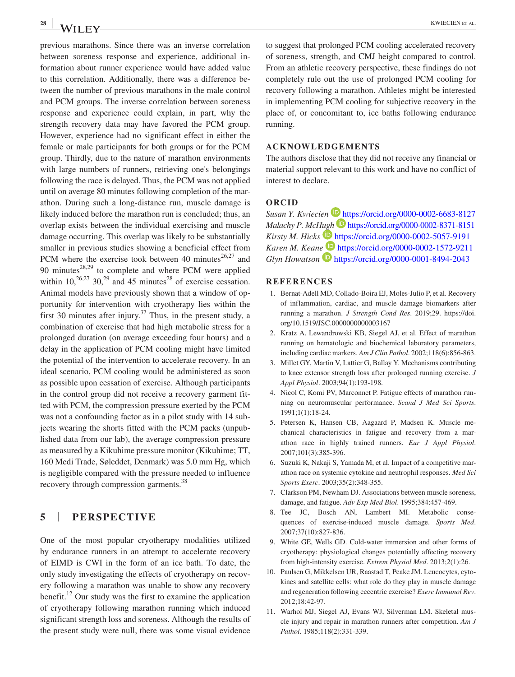previous marathons. Since there was an inverse correlation between soreness response and experience, additional information about runner experience would have added value to this correlation. Additionally, there was a difference between the number of previous marathons in the male control and PCM groups. The inverse correlation between soreness response and experience could explain, in part, why the strength recovery data may have favored the PCM group. However, experience had no significant effect in either the female or male participants for both groups or for the PCM group. Thirdly, due to the nature of marathon environments with large numbers of runners, retrieving one's belongings following the race is delayed. Thus, the PCM was not applied until on average 80 minutes following completion of the marathon. During such a long-distance run, muscle damage is likely induced before the marathon run is concluded; thus, an overlap exists between the individual exercising and muscle damage occurring. This overlap was likely to be substantially smaller in previous studies showing a beneficial effect from PCM where the exercise took between 40 minutes $26,27$  and 90 minutes $^{28,29}$  to complete and where PCM were applied within  $10,^{26,27}$  30,<sup>29</sup> and 45 minutes<sup>28</sup> of exercise cessation. Animal models have previously shown that a window of opportunity for intervention with cryotherapy lies within the first 30 minutes after injury.<sup>37</sup> Thus, in the present study, a combination of exercise that had high metabolic stress for a prolonged duration (on average exceeding four hours) and a delay in the application of PCM cooling might have limited the potential of the intervention to accelerate recovery. In an ideal scenario, PCM cooling would be administered as soon as possible upon cessation of exercise. Although participants in the control group did not receive a recovery garment fitted with PCM, the compression pressure exerted by the PCM was not a confounding factor as in a pilot study with 14 subjects wearing the shorts fitted with the PCM packs (unpublished data from our lab), the average compression pressure as measured by a Kikuhime pressure monitor (Kikuhime; TT, 160 Medi Trade, Søleddet, Denmark) was 5.0 mm Hg, which is negligible compared with the pressure needed to influence recovery through compression garments.<sup>38</sup>

# **5** | **PERSPECTIVE**

One of the most popular cryotherapy modalities utilized by endurance runners in an attempt to accelerate recovery of EIMD is CWI in the form of an ice bath. To date, the only study investigating the effects of cryotherapy on recovery following a marathon was unable to show any recovery benefit.<sup>12</sup> Our study was the first to examine the application of cryotherapy following marathon running which induced significant strength loss and soreness. Although the results of the present study were null, there was some visual evidence

to suggest that prolonged PCM cooling accelerated recovery of soreness, strength, and CMJ height compared to control. From an athletic recovery perspective, these findings do not completely rule out the use of prolonged PCM cooling for recovery following a marathon. Athletes might be interested in implementing PCM cooling for subjective recovery in the place of, or concomitant to, ice baths following endurance running.

# **ACKNOWLEDGEMENTS**

The authors disclose that they did not receive any financial or material support relevant to this work and have no conflict of interest to declare.

#### **ORCID**

*Susan Y. Kwiecien* <https://orcid.org/0000-0002-6683-8127> *Malachy P. Mc[Hugh](https://orcid.org/0000-0002-5057-9191)* **b** <https://orcid.org/0000-0002-8371-8151> *Kirsty M. Hicks* **b** <https://orcid.org/0000-0002-5057-9191> *Karen M. Kean[e](https://orcid.org/0000-0001-8494-2043)* <https://orcid.org/0000-0002-1572-9211> *Glyn Howatson* **<https://orcid.org/0000-0001-8494-2043>** 

#### **REFERENCES**

- 1. Bernat-Adell MD, Collado-Boira EJ, Moles-Julio P, et al. Recovery of inflammation, cardiac, and muscle damage biomarkers after running a marathon. *J Strength Cond Res*. 2019;29. [https://doi.](https://doi.org/10.1519/JSC.0000000000003167) [org/10.1519/JSC.0000000000003167](https://doi.org/10.1519/JSC.0000000000003167)
- 2. Kratz A, Lewandrowski KB, Siegel AJ, et al. Effect of marathon running on hematologic and biochemical laboratory parameters, including cardiac markers. *Am J Clin Pathol*. 2002;118(6):856-863.
- 3. Millet GY, Martin V, Lattier G, Ballay Y. Mechanisms contributing to knee extensor strength loss after prolonged running exercise. *J Appl Physiol*. 2003;94(1):193-198.
- 4. Nicol C, Komi PV, Marconnet P. Fatigue effects of marathon running on neuromuscular performance. *Scand J Med Sci Sports*. 1991;1(1):18-24.
- 5. Petersen K, Hansen CB, Aagaard P, Madsen K. Muscle mechanical characteristics in fatigue and recovery from a marathon race in highly trained runners. *Eur J Appl Physiol*. 2007;101(3):385-396.
- 6. Suzuki K, Nakaji S, Yamada M, et al. Impact of a competitive marathon race on systemic cytokine and neutrophil responses. *Med Sci Sports Exerc*. 2003;35(2):348-355.
- 7. Clarkson PM, Newham DJ. Associations between muscle soreness, damage, and fatigue. *Adv Exp Med Biol*. 1995;384:457-469.
- 8. Tee JC, Bosch AN, Lambert MI. Metabolic consequences of exercise-induced muscle damage. *Sports Med*. 2007;37(10):827-836.
- 9. White GE, Wells GD. Cold-water immersion and other forms of cryotherapy: physiological changes potentially affecting recovery from high-intensity exercise. *Extrem Physiol Med*. 2013;2(1):26.
- 10. Paulsen G, Mikkelsen UR, Raastad T, Peake JM. Leucocytes, cytokines and satellite cells: what role do they play in muscle damage and regeneration following eccentric exercise? *Exerc Immunol Rev*. 2012;18:42-97.
- 11. Warhol MJ, Siegel AJ, Evans WJ, Silverman LM. Skeletal muscle injury and repair in marathon runners after competition. *Am J Pathol*. 1985;118(2):331-339.